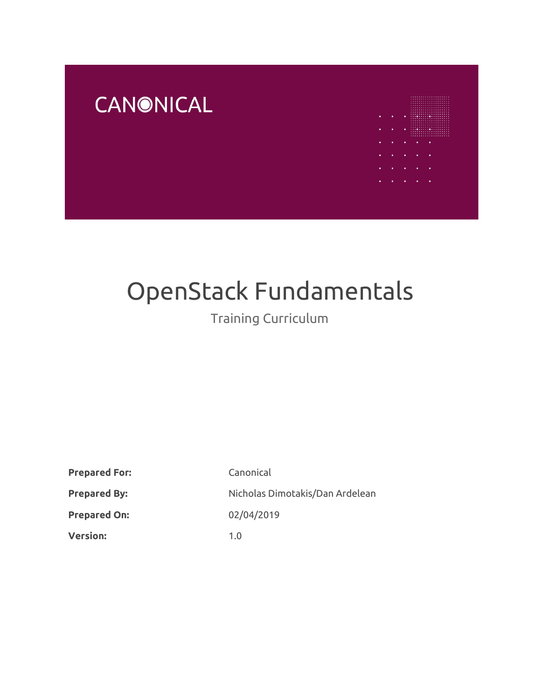# **CANONICAL**



# OpenStack Fundamentals

# Training Curriculum

| <b>Prepared For:</b> | Canonical                       |
|----------------------|---------------------------------|
| <b>Prepared By:</b>  | Nicholas Dimotakis/Dan Ardelean |
| <b>Prepared On:</b>  | 02/04/2019                      |
| <b>Version:</b>      | 1. $\Omega$                     |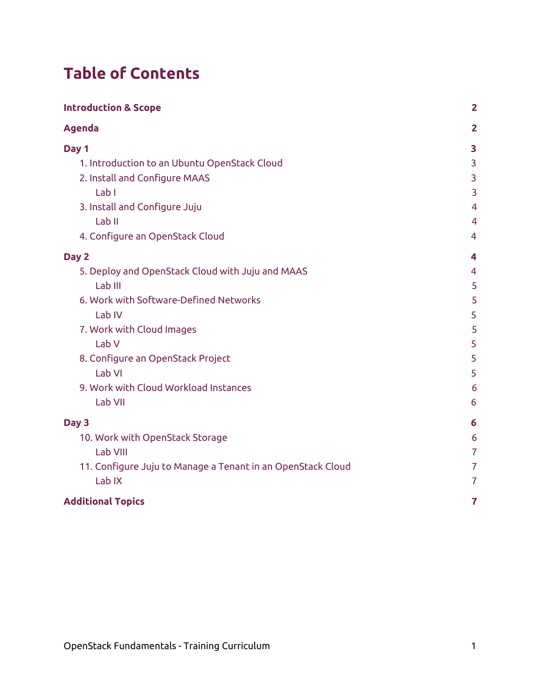# **Table of Contents**

| <b>Introduction &amp; Scope</b>                             | $\overline{2}$ |
|-------------------------------------------------------------|----------------|
| <b>Agenda</b>                                               | $\overline{2}$ |
| Day 1                                                       | 3              |
| 1. Introduction to an Ubuntu OpenStack Cloud                | 3              |
| 2. Install and Configure MAAS                               | 3              |
| Lab I                                                       | 3              |
| 3. Install and Configure Juju                               | $\overline{4}$ |
| Lab <sub>II</sub>                                           | $\overline{4}$ |
| 4. Configure an OpenStack Cloud                             | 4              |
| Day 2                                                       | 4              |
| 5. Deploy and OpenStack Cloud with Juju and MAAS            | $\overline{4}$ |
| Lab III                                                     | 5              |
| 6. Work with Software-Defined Networks                      | 5              |
| Lab IV                                                      | 5              |
| 7. Work with Cloud Images                                   | 5              |
| Lab <sub>V</sub>                                            | 5              |
| 8. Configure an OpenStack Project                           | 5              |
| Lab VI                                                      | 5              |
| 9. Work with Cloud Workload Instances                       | 6              |
| Lab VII                                                     | 6              |
| Day 3                                                       | 6              |
| 10. Work with OpenStack Storage                             | 6              |
| Lab VIII                                                    | $\overline{7}$ |
| 11. Configure Juju to Manage a Tenant in an OpenStack Cloud | $\overline{7}$ |
| Lab <sub>IX</sub>                                           | $\overline{7}$ |
| <b>Additional Topics</b>                                    | $\overline{7}$ |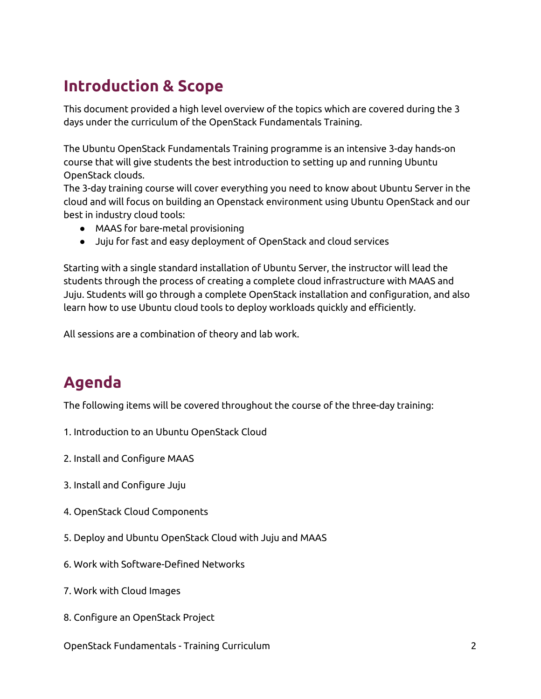# <span id="page-2-0"></span>**Introduction & Scope**

This document provided a high level overview of the topics which are covered during the 3 days under the curriculum of the OpenStack Fundamentals Training.

The Ubuntu OpenStack Fundamentals Training programme is an intensive 3-day hands-on course that will give students the best introduction to setting up and running Ubuntu OpenStack clouds.

The 3-day training course will cover everything you need to know about Ubuntu Server in the cloud and will focus on building an Openstack environment using Ubuntu OpenStack and our best in industry cloud tools:

- MAAS for bare-metal provisioning
- Juju for fast and easy deployment of OpenStack and cloud services

Starting with a single standard installation of Ubuntu Server, the instructor will lead the students through the process of creating a complete cloud infrastructure with MAAS and Juju. Students will go through a complete OpenStack installation and configuration, and also learn how to use Ubuntu cloud tools to deploy workloads quickly and efficiently.

All sessions are a combination of theory and lab work.

# <span id="page-2-1"></span>**Agenda**

The following items will be covered throughout the course of the three-day training:

- 1. Introduction to an Ubuntu OpenStack Cloud
- 2. Install and Configure MAAS
- 3. Install and Configure Juju
- 4. OpenStack Cloud Components
- 5. Deploy and Ubuntu OpenStack Cloud with Juju and MAAS
- 6. Work with Software-Defined Networks
- 7. Work with Cloud Images
- 8. Configure an OpenStack Project
- OpenStack Fundamentals Training Curriculum 2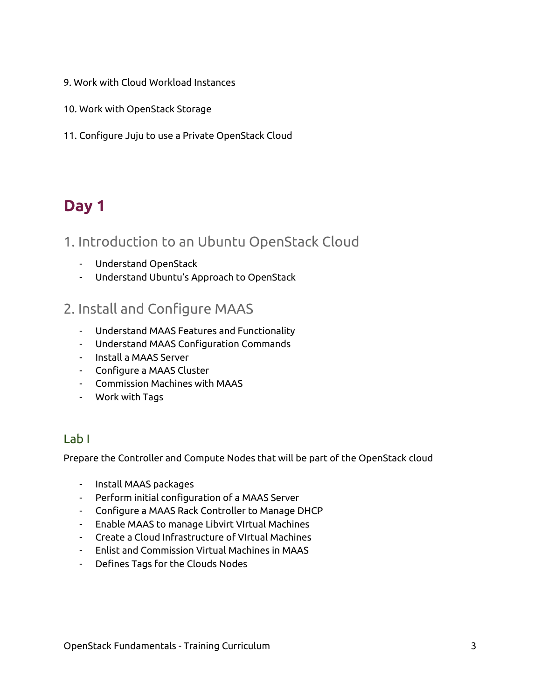- 9. Work with Cloud Workload Instances
- 10. Work with OpenStack Storage
- <span id="page-3-0"></span>11. Configure Juju to use a Private OpenStack Cloud

# **Day 1**

### <span id="page-3-1"></span>1. Introduction to an Ubuntu OpenStack Cloud

- Understand OpenStack
- Understand Ubuntu's Approach to OpenStack

### <span id="page-3-2"></span>2. Install and Configure MAAS

- Understand MAAS Features and Functionality
- Understand MAAS Configuration Commands
- Install a MAAS Server
- Configure a MAAS Cluster
- Commission Machines with MAAS
- Work with Tags

#### <span id="page-3-3"></span>Lab I

Prepare the Controller and Compute Nodes that will be part of the OpenStack cloud

- Install MAAS packages
- Perform initial configuration of a MAAS Server
- Configure a MAAS Rack Controller to Manage DHCP
- Enable MAAS to manage Libvirt VIrtual Machines
- Create a Cloud Infrastructure of VIrtual Machines
- Enlist and Commission Virtual Machines in MAAS
- Defines Tags for the Clouds Nodes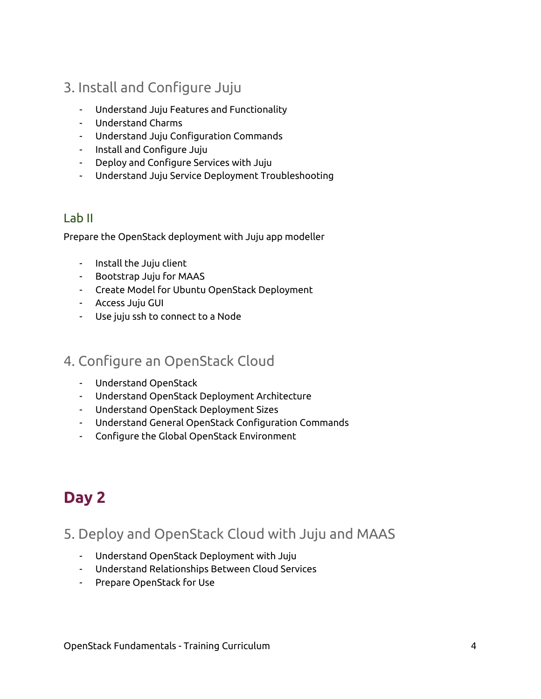- <span id="page-4-0"></span>3. Install and Configure Juju
	- Understand Juju Features and Functionality
	- Understand Charms
	- Understand Juju Configuration Commands
	- Install and Configure Juju
	- Deploy and Configure Services with Juju
	- Understand Juju Service Deployment Troubleshooting

#### <span id="page-4-1"></span>Lab II

Prepare the OpenStack deployment with Juju app modeller

- Install the Juju client
- Bootstrap Juju for MAAS
- Create Model for Ubuntu OpenStack Deployment
- Access Juju GUI
- Use juju ssh to connect to a Node

## <span id="page-4-2"></span>4. Configure an OpenStack Cloud

- Understand OpenStack
- Understand OpenStack Deployment Architecture
- Understand OpenStack Deployment Sizes
- Understand General OpenStack Configuration Commands
- Configure the Global OpenStack Environment

# <span id="page-4-3"></span>**Day 2**

# <span id="page-4-4"></span>5. Deploy and OpenStack Cloud with Juju and MAAS

- Understand OpenStack Deployment with Juju
- Understand Relationships Between Cloud Services
- Prepare OpenStack for Use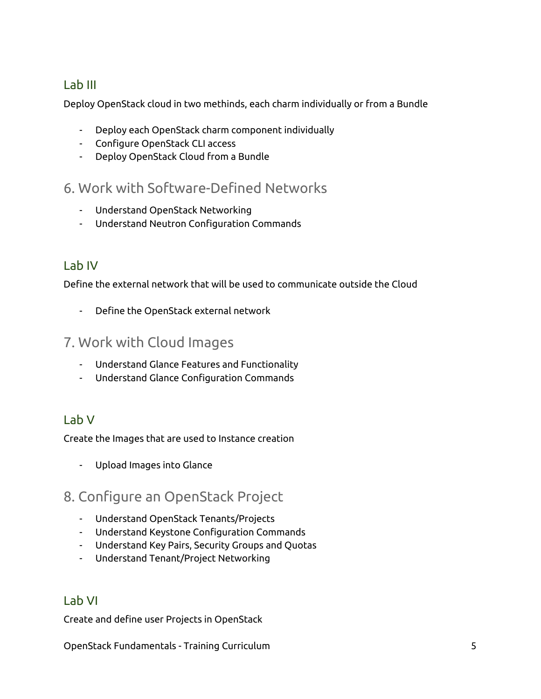#### <span id="page-5-0"></span>Lab III

Deploy OpenStack cloud in two methinds, each charm individually or from a Bundle

- Deploy each OpenStack charm component individually
- Configure OpenStack CLI access
- Deploy OpenStack Cloud from a Bundle

## <span id="page-5-1"></span>6. Work with Software-Defined Networks

- Understand OpenStack Networking
- Understand Neutron Configuration Commands

### <span id="page-5-2"></span>Lab IV

Define the external network that will be used to communicate outside the Cloud

- Define the OpenStack external network

### <span id="page-5-3"></span>7. Work with Cloud Images

- Understand Glance Features and Functionality
- Understand Glance Configuration Commands

#### <span id="page-5-4"></span>Lab V

Create the Images that are used to Instance creation

- Upload Images into Glance

## <span id="page-5-5"></span>8. Configure an OpenStack Project

- Understand OpenStack Tenants/Projects
- Understand Keystone Configuration Commands
- Understand Key Pairs, Security Groups and Quotas
- Understand Tenant/Project Networking

#### <span id="page-5-6"></span>Lab VI

Create and define user Projects in OpenStack

OpenStack Fundamentals - Training Curriculum 5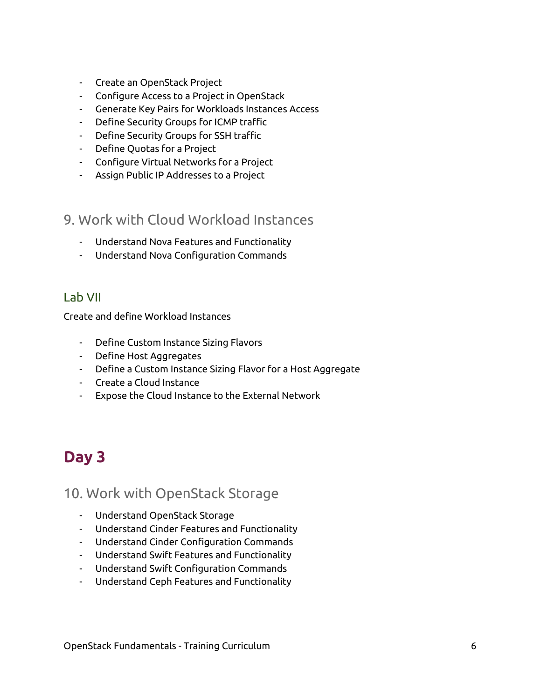- Create an OpenStack Project
- Configure Access to a Project in OpenStack
- Generate Key Pairs for Workloads Instances Access
- Define Security Groups for ICMP traffic
- Define Security Groups for SSH traffic
- Define Quotas for a Project
- Configure Virtual Networks for a Project
- Assign Public IP Addresses to a Project

### <span id="page-6-0"></span>9. Work with Cloud Workload Instances

- Understand Nova Features and Functionality
- Understand Nova Configuration Commands

#### <span id="page-6-1"></span>Lab VII

Create and define Workload Instances

- Define Custom Instance Sizing Flavors
- Define Host Aggregates
- Define a Custom Instance Sizing Flavor for a Host Aggregate
- Create a Cloud Instance
- Expose the Cloud Instance to the External Network

# <span id="page-6-2"></span>**Day 3**

#### <span id="page-6-3"></span>10. Work with OpenStack Storage

- Understand OpenStack Storage
- Understand Cinder Features and Functionality
- Understand Cinder Configuration Commands
- Understand Swift Features and Functionality
- Understand Swift Configuration Commands
- Understand Ceph Features and Functionality